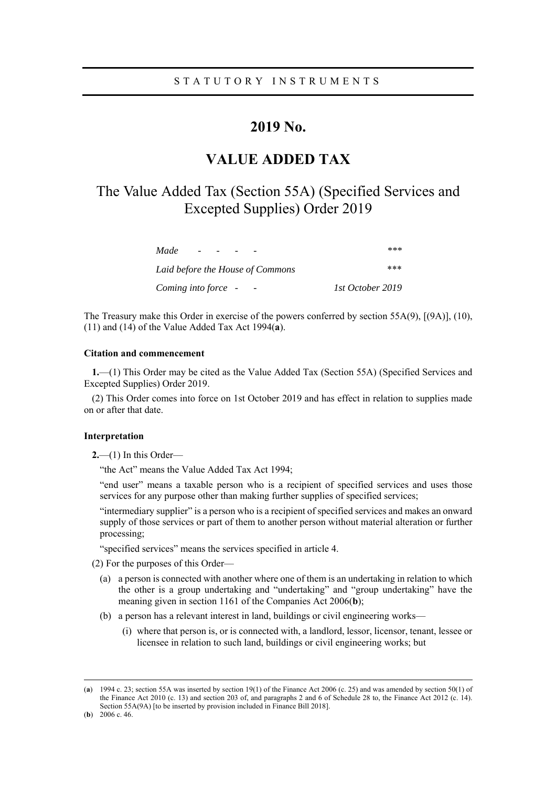# **2019 No.**

# **VALUE ADDED TAX**

# The Value Added Tax (Section 55A) (Specified Services and Excepted Supplies) Order 2019

| Made                             | ***              |
|----------------------------------|------------------|
| Laid before the House of Commons | ***              |
| Coming into force -              | 1st October 2019 |

The Treasury make this Order in exercise of the powers conferred by section 55A(9), [(9A)], (10), (11) and (14) of the Value Added Tax Act 1994(**a**).

# **Citation and commencement**

**1.**—(1) This Order may be cited as the Value Added Tax (Section 55A) (Specified Services and Excepted Supplies) Order 2019.

(2) This Order comes into force on 1st October 2019 and has effect in relation to supplies made on or after that date.

#### **Interpretation**

**2.**—(1) In this Order—

"the Act" means the Value Added Tax Act 1994;

"end user" means a taxable person who is a recipient of specified services and uses those services for any purpose other than making further supplies of specified services;

"intermediary supplier" is a person who is a recipient of specified services and makes an onward supply of those services or part of them to another person without material alteration or further processing;

"specified services" means the services specified in article 4.

(2) For the purposes of this Order—

- (a) a person is connected with another where one of them is an undertaking in relation to which the other is a group undertaking and "undertaking" and "group undertaking" have the meaning given in section 1161 of the Companies Act 2006(**b**);
- (b) a person has a relevant interest in land, buildings or civil engineering works—
	- (i) where that person is, or is connected with, a landlord, lessor, licensor, tenant, lessee or licensee in relation to such land, buildings or civil engineering works; but

 <sup>(</sup>**a**) 1994 c. 23; section 55A was inserted by section 19(1) of the Finance Act 2006 (c. 25) and was amended by section 50(1) of the Finance Act 2010 (c. 13) and section 203 of, and paragraphs 2 and 6 of Schedule 28 to, the Finance Act 2012 (c. 14). Section 55A(9A) [to be inserted by provision included in Finance Bill 2018].

<sup>(</sup>**b**) 2006 c. 46.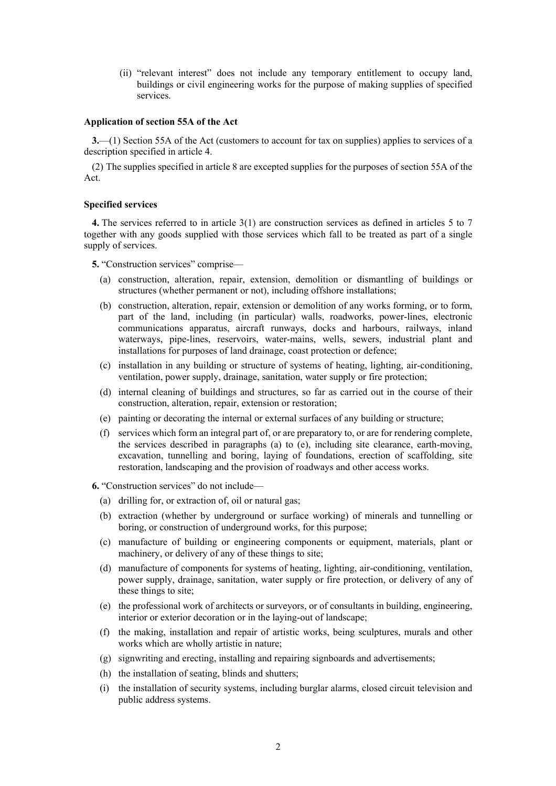(ii) "relevant interest" does not include any temporary entitlement to occupy land, buildings or civil engineering works for the purpose of making supplies of specified services.

#### **Application of section 55A of the Act**

**3.**—(1) Section 55A of the Act (customers to account for tax on supplies) applies to services of a description specified in article 4.

(2) The supplies specified in article 8 are excepted supplies for the purposes of section 55A of the Act.

#### **Specified services**

**4.** The services referred to in article 3(1) are construction services as defined in articles 5 to 7 together with any goods supplied with those services which fall to be treated as part of a single supply of services.

**5.** "Construction services" comprise—

- (a) construction, alteration, repair, extension, demolition or dismantling of buildings or structures (whether permanent or not), including offshore installations;
- (b) construction, alteration, repair, extension or demolition of any works forming, or to form, part of the land, including (in particular) walls, roadworks, power-lines, electronic communications apparatus, aircraft runways, docks and harbours, railways, inland waterways, pipe-lines, reservoirs, water-mains, wells, sewers, industrial plant and installations for purposes of land drainage, coast protection or defence;
- (c) installation in any building or structure of systems of heating, lighting, air-conditioning, ventilation, power supply, drainage, sanitation, water supply or fire protection;
- (d) internal cleaning of buildings and structures, so far as carried out in the course of their construction, alteration, repair, extension or restoration;
- (e) painting or decorating the internal or external surfaces of any building or structure;
- (f) services which form an integral part of, or are preparatory to, or are for rendering complete, the services described in paragraphs (a) to (e), including site clearance, earth-moving, excavation, tunnelling and boring, laying of foundations, erection of scaffolding, site restoration, landscaping and the provision of roadways and other access works.
- **6.** "Construction services" do not include—
	- (a) drilling for, or extraction of, oil or natural gas;
	- (b) extraction (whether by underground or surface working) of minerals and tunnelling or boring, or construction of underground works, for this purpose;
	- (c) manufacture of building or engineering components or equipment, materials, plant or machinery, or delivery of any of these things to site;
	- (d) manufacture of components for systems of heating, lighting, air-conditioning, ventilation, power supply, drainage, sanitation, water supply or fire protection, or delivery of any of these things to site;
	- (e) the professional work of architects or surveyors, or of consultants in building, engineering, interior or exterior decoration or in the laying-out of landscape;
	- (f) the making, installation and repair of artistic works, being sculptures, murals and other works which are wholly artistic in nature;
	- (g) signwriting and erecting, installing and repairing signboards and advertisements;
	- (h) the installation of seating, blinds and shutters;
	- (i) the installation of security systems, including burglar alarms, closed circuit television and public address systems.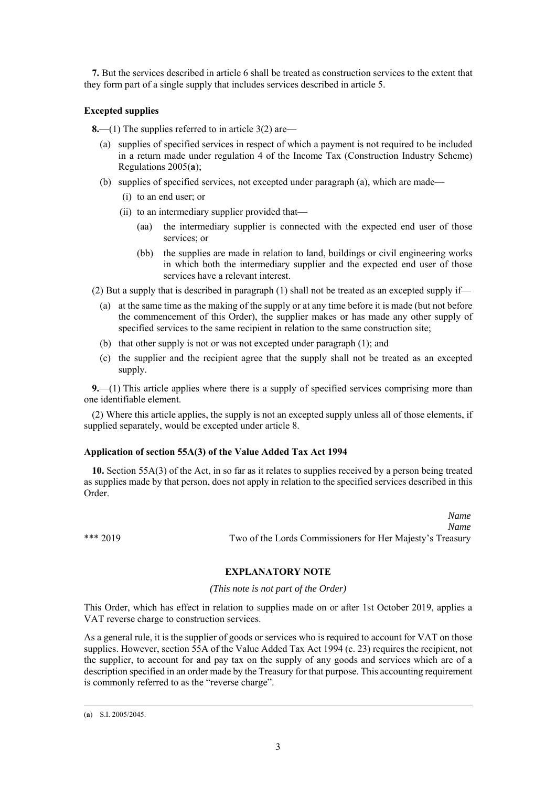**7.** But the services described in article 6 shall be treated as construction services to the extent that they form part of a single supply that includes services described in article 5.

## **Excepted supplies**

**8.**—(1) The supplies referred to in article 3(2) are—

- (a) supplies of specified services in respect of which a payment is not required to be included in a return made under regulation 4 of the Income Tax (Construction Industry Scheme) Regulations 2005(**a**);
- (b) supplies of specified services, not excepted under paragraph (a), which are made—
	- (i) to an end user; or
	- (ii) to an intermediary supplier provided that—
		- (aa) the intermediary supplier is connected with the expected end user of those services; or
		- (bb) the supplies are made in relation to land, buildings or civil engineering works in which both the intermediary supplier and the expected end user of those services have a relevant interest.

(2) But a supply that is described in paragraph (1) shall not be treated as an excepted supply if—

- (a) at the same time as the making of the supply or at any time before it is made (but not before the commencement of this Order), the supplier makes or has made any other supply of specified services to the same recipient in relation to the same construction site;
- (b) that other supply is not or was not excepted under paragraph (1); and
- (c) the supplier and the recipient agree that the supply shall not be treated as an excepted supply.

**9.**—(1) This article applies where there is a supply of specified services comprising more than one identifiable element.

(2) Where this article applies, the supply is not an excepted supply unless all of those elements, if supplied separately, would be excepted under article 8.

## **Application of section 55A(3) of the Value Added Tax Act 1994**

**10.** Section 55A(3) of the Act, in so far as it relates to supplies received by a person being treated as supplies made by that person, does not apply in relation to the specified services described in this Order.

*Name Name*  \*\*\* 2019 Two of the Lords Commissioners for Her Majesty's Treasury

**EXPLANATORY NOTE** 

## *(This note is not part of the Order)*

This Order, which has effect in relation to supplies made on or after 1st October 2019, applies a VAT reverse charge to construction services.

As a general rule, it is the supplier of goods or services who is required to account for VAT on those supplies. However, section 55A of the Value Added Tax Act 1994 (c. 23) requires the recipient, not the supplier, to account for and pay tax on the supply of any goods and services which are of a description specified in an order made by the Treasury for that purpose. This accounting requirement is commonly referred to as the "reverse charge".

 <sup>(</sup>**a**) S.I. 2005/2045.